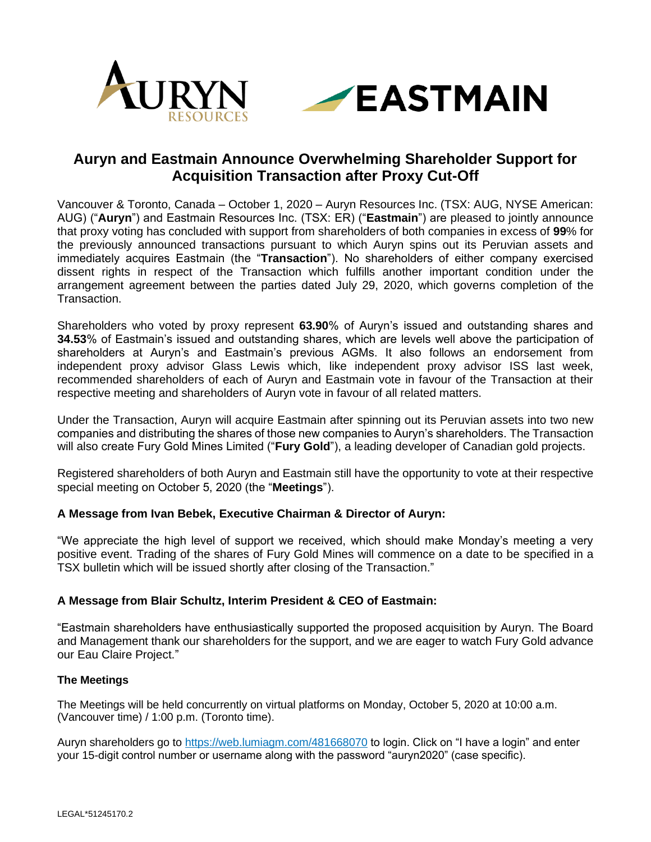

# **Auryn and Eastmain Announce Overwhelming Shareholder Support for Acquisition Transaction after Proxy Cut-Off**

Vancouver & Toronto, Canada – October 1, 2020 – Auryn Resources Inc. (TSX: AUG, NYSE American: AUG) ("**Auryn**") and Eastmain Resources Inc. (TSX: ER) ("**Eastmain**") are pleased to jointly announce that proxy voting has concluded with support from shareholders of both companies in excess of **99**% for the previously announced transactions pursuant to which Auryn spins out its Peruvian assets and immediately acquires Eastmain (the "**Transaction**"). No shareholders of either company exercised dissent rights in respect of the Transaction which fulfills another important condition under the arrangement agreement between the parties dated July 29, 2020, which governs completion of the Transaction.

Shareholders who voted by proxy represent **63.90**% of Auryn's issued and outstanding shares and **34.53**% of Eastmain's issued and outstanding shares, which are levels well above the participation of shareholders at Auryn's and Eastmain's previous AGMs. It also follows an endorsement from independent proxy advisor Glass Lewis which, like independent proxy advisor ISS last week, recommended shareholders of each of Auryn and Eastmain vote in favour of the Transaction at their respective meeting and shareholders of Auryn vote in favour of all related matters.

Under the Transaction, Auryn will acquire Eastmain after spinning out its Peruvian assets into two new companies and distributing the shares of those new companies to Auryn's shareholders. The Transaction will also create Fury Gold Mines Limited ("**Fury Gold**"), a leading developer of Canadian gold projects.

Registered shareholders of both Auryn and Eastmain still have the opportunity to vote at their respective special meeting on October 5, 2020 (the "**Meetings**").

# **A Message from Ivan Bebek, Executive Chairman & Director of Auryn:**

"We appreciate the high level of support we received, which should make Monday's meeting a very positive event. Trading of the shares of Fury Gold Mines will commence on a date to be specified in a TSX bulletin which will be issued shortly after closing of the Transaction."

# **A Message from Blair Schultz, Interim President & CEO of Eastmain:**

"Eastmain shareholders have enthusiastically supported the proposed acquisition by Auryn. The Board and Management thank our shareholders for the support, and we are eager to watch Fury Gold advance our Eau Claire Project."

## **The Meetings**

The Meetings will be held concurrently on virtual platforms on Monday, October 5, 2020 at 10:00 a.m. (Vancouver time) / 1:00 p.m. (Toronto time).

Auryn shareholders go to <https://web.lumiagm.com/481668070> to login. Click on "I have a login" and enter your 15-digit control number or username along with the password "auryn2020" (case specific).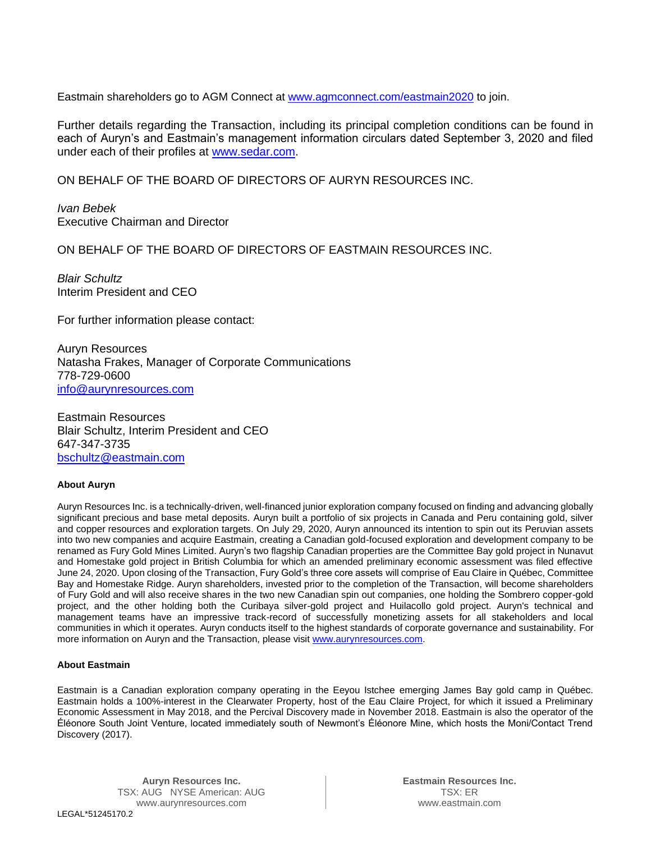Eastmain shareholders go to AGM Connect at [www.agmconnect.com/eastmain2020](http://www.agmconnect.com/eastmain2020) to join.

Further details regarding the Transaction, including its principal completion conditions can be found in each of Auryn's and Eastmain's management information circulars dated September 3, 2020 and filed under each of their profiles at [www.sedar.com.](http://www.sedar.com/)

ON BEHALF OF THE BOARD OF DIRECTORS OF AURYN RESOURCES INC.

*Ivan Bebek* Executive Chairman and Director

ON BEHALF OF THE BOARD OF DIRECTORS OF EASTMAIN RESOURCES INC.

*Blair Schultz* Interim President and CEO

For further information please contact:

Auryn Resources Natasha Frakes, Manager of Corporate Communications 778-729-0600 [info@aurynresources.com](mailto:info@aurynresources.com)

Eastmain Resources Blair Schultz, Interim President and CEO 647-347-3735 [bschultz@eastmain.com](mailto:bschultz@eastmain.com)

## **About Auryn**

Auryn Resources Inc. is a technically-driven, well-financed junior exploration company focused on finding and advancing globally significant precious and base metal deposits. Auryn built a portfolio of six projects in Canada and Peru containing gold, silver and copper resources and exploration targets. On July 29, 2020, Auryn announced its intention to spin out its Peruvian assets into two new companies and acquire Eastmain, creating a Canadian gold-focused exploration and development company to be renamed as Fury Gold Mines Limited. Auryn's two flagship Canadian properties are the Committee Bay gold project in Nunavut and Homestake gold project in British Columbia for which an amended preliminary economic assessment was filed effective June 24, 2020. Upon closing of the Transaction, Fury Gold's three core assets will comprise of Eau Claire in Québec, Committee Bay and Homestake Ridge. Auryn shareholders, invested prior to the completion of the Transaction, will become shareholders of Fury Gold and will also receive shares in the two new Canadian spin out companies, one holding the Sombrero copper-gold project, and the other holding both the Curibaya silver-gold project and Huilacollo gold project. Auryn's technical and management teams have an impressive track-record of successfully monetizing assets for all stakeholders and local communities in which it operates. Auryn conducts itself to the highest standards of corporate governance and sustainability. For more information on Auryn and the Transaction, please visit [www.aurynresources.com.](http://www.aurynresources.com/)

## **About Eastmain**

Eastmain is a Canadian exploration company operating in the Eeyou Istchee emerging James Bay gold camp in Québec. Eastmain holds a 100%-interest in the Clearwater Property, host of the Eau Claire Project, for which it issued a Preliminary Economic Assessment in May 2018, and the Percival Discovery made in November 2018. Eastmain is also the operator of the Éléonore South Joint Venture, located immediately south of Newmont's Éléonore Mine, which hosts the Moni/Contact Trend Discovery (2017).

**Auryn Resources Inc.** TSX: AUG NYSE American: AUG www.aurynresources.com

**Eastmain Resources Inc.** TSX: ER www.eastmain.com